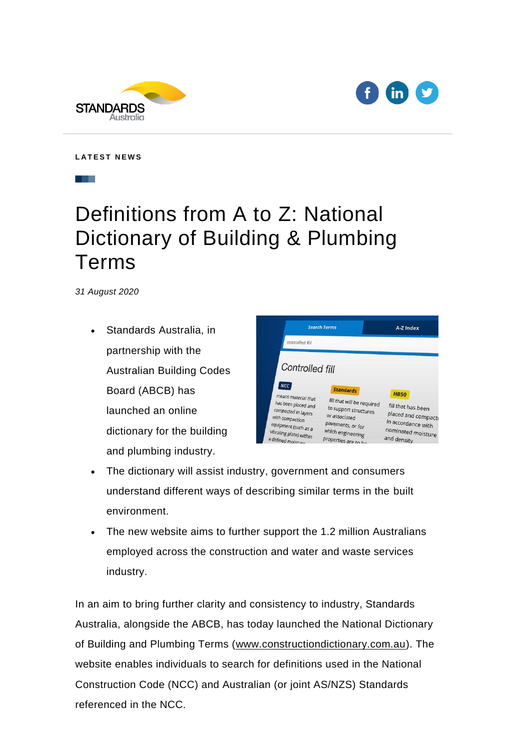



**L A T E S T N E W S**

## Definitions from A to Z: National Dictionary of Building & Plumbing Terms

*31 August 2020* 

• Standards Australia, in partnership with the Australian Building Codes Board (ABCB) has launched an online dictionary for the building and plumbing industry.



- The dictionary will assist industry, government and consumers understand different ways of describing similar terms in the built environment.
- The new website aims to further support the 1.2 million Australians employed across the construction and water and waste services industry.

In an aim to bring further clarity and consistency to industry, Standards Australia, alongside the ABCB, has today launched the National Dictionary of Building and Plumbing Terms [\(www.constructiondictionary.com.au\)](https://nam04.safelinks.protection.outlook.com/?url=https%3A%2F%2Fkentico.cmail20.com%2Ft%2Fn%2Fr-l-69e96a7eeb4411eaa9ea3782d7a5d967-l-i-r-l%2F&data=02%7C01%7CAU-Apo%40wolterskluwer.com%7C0353a10b46c34945bbf408d84d684ebc%7C8ac76c91e7f141ffa89c3553b2da2c17%7C0%7C0%7C637344457678223082&sdata=JOHBsZkM8Z6L%2BL67%2B640eAd%2BKXqlQKSB7laYPOt5fN0%3D&reserved=0). The website enables individuals to search for definitions used in the National Construction Code (NCC) and Australian (or joint AS/NZS) Standards referenced in the NCC.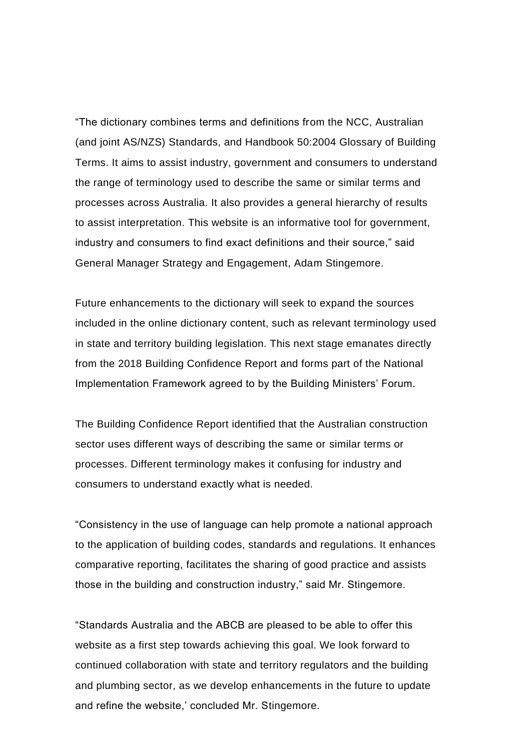"The dictionary combines terms and definitions from the NCC, Australian (and joint AS/NZS) Standards, and Handbook 50:2004 Glossary of Building Terms. It aims to assist industry, government and consumers to understand the range of terminology used to describe the same or similar terms and processes across Australia. It also provides a general hierarchy of results to assist interpretation. This website is an informative tool for government, industry and consumers to find exact definitions and their source," said General Manager Strategy and Engagement, Adam Stingemore.

Future enhancements to the dictionary will seek to expand the sources included in the online dictionary content, such as relevant terminology used in state and territory building legislation. This next stage emanates directly from the 2018 Building Confidence Report and forms part of the National Implementation Framework agreed to by the Building Ministers' Forum.

The Building Confidence Report identified that the Australian construction sector uses different ways of describing the same or similar terms or processes. Different terminology makes it confusing for industry and consumers to understand exactly what is needed.

"Consistency in the use of language can help promote a national approach to the application of building codes, standards and regulations. It enhances comparative reporting, facilitates the sharing of good practice and assists those in the building and construction industry," said Mr. Stingemore.

"Standards Australia and the ABCB are pleased to be able to offer this website as a first step towards achieving this goal. We look forward to continued collaboration with state and territory regulators and the building and plumbing sector, as we develop enhancements in the future to update and refine the website,' concluded Mr. Stingemore.